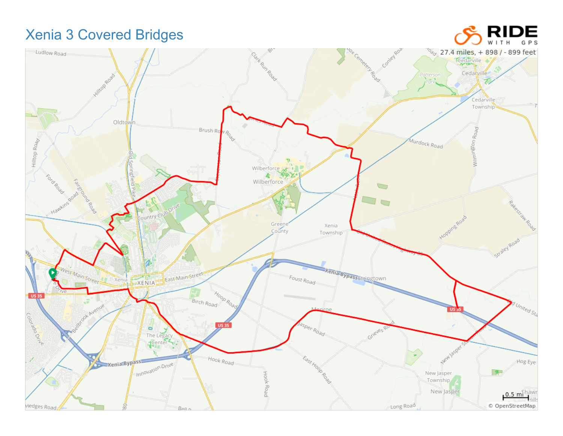# Xenia 3 Covered Bridges

# RIDE GPS

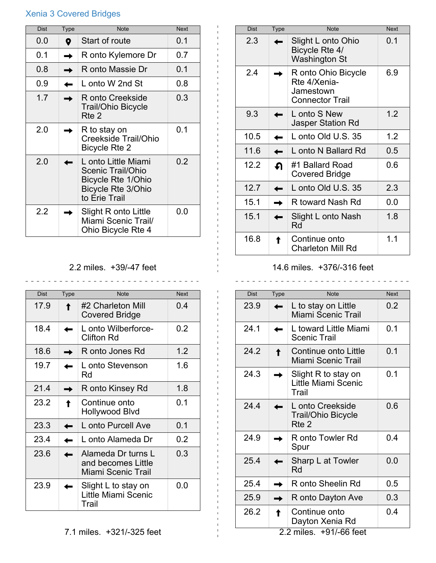## Xenia 3 Covered Bridges

| <b>Dist</b> | <b>Type</b> | <b>Note</b>                                                                                                         | <b>Next</b> |
|-------------|-------------|---------------------------------------------------------------------------------------------------------------------|-------------|
| 0.0         | 9           | Start of route                                                                                                      | 0.1         |
| 0.1         |             | R onto Kylemore Dr                                                                                                  | 0.7         |
| 0.8         |             | R onto Massie Dr                                                                                                    | 0.1         |
| 0.9         |             | L onto W 2nd St                                                                                                     | 0.8         |
| 1.7         |             | R onto Creekside<br>Trail/Ohio Bicycle<br>Rte 2                                                                     | 0.3         |
| 2.0         |             | R to stay on<br>Creekside Trail/Ohio<br><b>Bicycle Rte 2</b>                                                        | 0.1         |
| 2.0         |             | L onto Little Miami<br><b>Scenic Trail/Ohio</b><br>Bicycle Rte 1/Ohio<br><b>Bicycle Rte 3/Ohio</b><br>to Erie Trail | 0.2         |
| 2.2         |             | Slight R onto Little<br>Miami Scenic Trail/<br>Ohio Bicycle Rte 4                                                   | 0.0         |

#### 2.2 miles. +39/-47 feet

\_\_\_\_\_\_\_\_\_\_\_\_\_\_\_\_\_\_\_\_\_\_\_\_\_\_\_\_\_\_

| <b>Dist</b> | Type | <b>Note</b>                                                    | <b>Next</b> |
|-------------|------|----------------------------------------------------------------|-------------|
| 17.9        |      | #2 Charleton Mill<br>Covered Bridge                            | 0.4         |
| 18.4        |      | L onto Wilberforce-<br><b>Clifton Rd</b>                       | 0.2         |
| 18.6        |      | R onto Jones Rd                                                | 1.2         |
| 19.7        |      | L onto Stevenson<br>Rd                                         | 1.6         |
| 21.4        |      | R onto Kinsey Rd                                               | 1.8         |
| 23.2        |      | Continue onto<br>Hollywood Blvd                                | 0.1         |
| 23.3        |      | L onto Purcell Ave                                             | 0.1         |
| 23.4        |      | L onto Alameda Dr                                              | 0.2         |
| 23.6        |      | Alameda Dr turns L<br>and becomes Little<br>Miami Scenic Trail | 0.3         |
| 23.9        |      | Slight L to stay on<br>Little Miami Scenic<br>Trail            | 0.0         |

| Dist | <b>Type</b> | <b>Note</b>                                                                | <b>Next</b> |
|------|-------------|----------------------------------------------------------------------------|-------------|
| 2.3  |             | Slight L onto Ohio<br>Bicycle Rte 4/<br><b>Washington St</b>               | 0.1         |
| 24   |             | R onto Ohio Bicycle<br>Rte 4/Xenia-<br>Jamestown<br><b>Connector Trail</b> | 6.9         |
| 9.3  |             | L onto S New<br><b>Jasper Station Rd</b>                                   | 1.2         |
| 10.5 |             | L onto Old U.S. 35                                                         | 1.2         |
| 11.6 |             | L onto N Ballard Rd                                                        | 0.5         |
| 12.2 | h           | #1 Ballard Road<br>Covered Bridge                                          | 0.6         |
| 12.7 |             | L onto Old U.S. 35                                                         | 2.3         |
| 15.1 |             | R toward Nash Rd                                                           | 0.0         |
| 15.1 |             | Slight L onto Nash<br>Rd                                                   | 1.8         |
| 16.8 |             | Continue onto<br><b>Charleton Mill Rd</b>                                  | 1.1         |

### 14.6 miles. +376/-316 feet

| <b>Dist</b> | <b>Type</b> | <b>Note</b>                                                      | <b>Next</b> |
|-------------|-------------|------------------------------------------------------------------|-------------|
| 23.9        |             | L to stay on Little<br>Miami Scenic Trail                        | 0.2         |
| 24.1        |             | L toward Little Miami<br><b>Scenic Trail</b>                     | 0.1         |
| 24.2        |             | Continue onto Little<br>Miami Scenic Trail                       | 0.1         |
| 24.3        |             | Slight R to stay on<br>Little Miami Scenic<br>Trail              | 0.1         |
| 24.4        |             | L onto Creekside<br>Trail/Ohio Bicycle<br>Rte 2                  | 0.6         |
| 24.9        |             | R onto Towler Rd<br>Spur                                         | 0.4         |
| 25.4        |             | Sharp L at Towler<br>Rd                                          | 0.0         |
| 25.4        |             | R onto Sheelin Rd                                                | 0.5         |
| 25.9        |             | R onto Dayton Ave                                                | 0.3         |
| 26.2        |             | Continue onto<br>Dayton Xenia Rd<br>$2.2$ milos $\pm$ 01/66 foot | 0.4         |

2.2 miles. +91/-66 feet